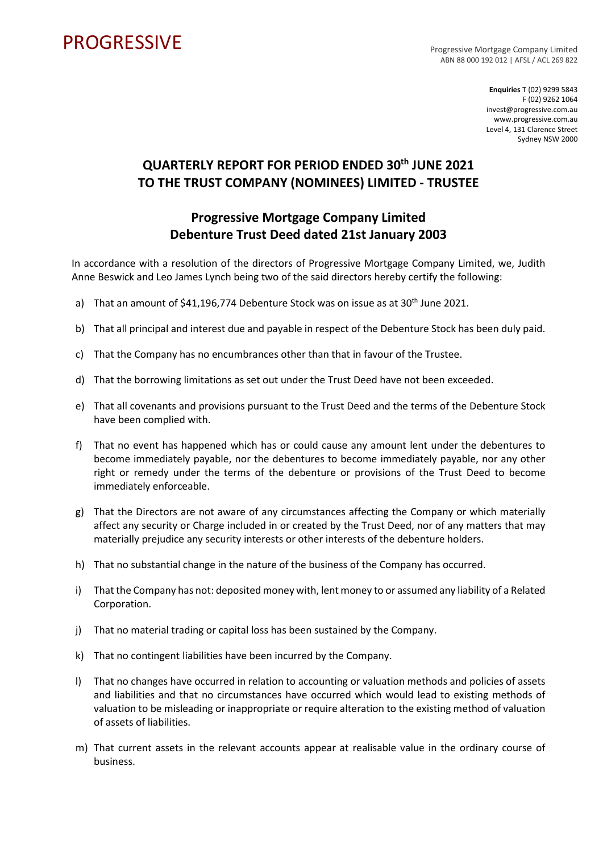## **PROGRESSIVE**

Progressive Mortgage Company Limited ABN 88 000 192 012 | AFSL / ACL 269 822

> **Enquiries** T (02) 9299 5843 F (02) 9262 1064 invest@progressive.com.au www.progressive.com.au Level 4, 131 Clarence Street Sydney NSW 2000

## **QUARTERLY REPORT FOR PERIOD ENDED 30th JUNE 2021 TO THE TRUST COMPANY (NOMINEES) LIMITED - TRUSTEE**

## **Progressive Mortgage Company Limited Debenture Trust Deed dated 21st January 2003**

In accordance with a resolution of the directors of Progressive Mortgage Company Limited, we, Judith Anne Beswick and Leo James Lynch being two of the said directors hereby certify the following:

- a) That an amount of \$41,196,774 Debenture Stock was on issue as at 30<sup>th</sup> June 2021.
- b) That all principal and interest due and payable in respect of the Debenture Stock has been duly paid.
- c) That the Company has no encumbrances other than that in favour of the Trustee.
- d) That the borrowing limitations as set out under the Trust Deed have not been exceeded.
- e) That all covenants and provisions pursuant to the Trust Deed and the terms of the Debenture Stock have been complied with.
- f) That no event has happened which has or could cause any amount lent under the debentures to become immediately payable, nor the debentures to become immediately payable, nor any other right or remedy under the terms of the debenture or provisions of the Trust Deed to become immediately enforceable.
- g) That the Directors are not aware of any circumstances affecting the Company or which materially affect any security or Charge included in or created by the Trust Deed, nor of any matters that may materially prejudice any security interests or other interests of the debenture holders.
- h) That no substantial change in the nature of the business of the Company has occurred.
- i) That the Company has not: deposited money with, lent money to or assumed any liability of a Related Corporation.
- j) That no material trading or capital loss has been sustained by the Company.
- k) That no contingent liabilities have been incurred by the Company.
- l) That no changes have occurred in relation to accounting or valuation methods and policies of assets and liabilities and that no circumstances have occurred which would lead to existing methods of valuation to be misleading or inappropriate or require alteration to the existing method of valuation of assets of liabilities.
- m) That current assets in the relevant accounts appear at realisable value in the ordinary course of business.